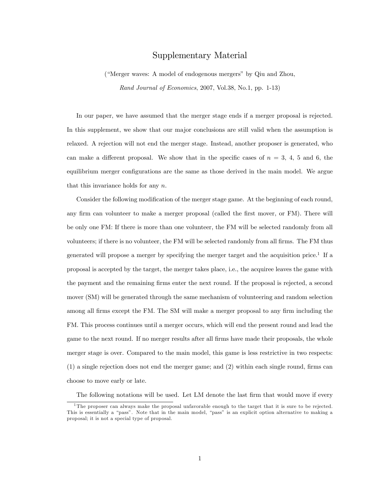# Supplementary Material

("Merger waves: A model of endogenous mergers" by Qiu and Zhou, Rand Journal of Economics, 2007, Vol.38, No.1, pp. 1-13)

In our paper, we have assumed that the merger stage ends if a merger proposal is rejected. In this supplement, we show that our major conclusions are still valid when the assumption is relaxed. A rejection will not end the merger stage. Instead, another proposer is generated, who can make a different proposal. We show that in the specific cases of  $n = 3, 4, 5$  and 6, the equilibrium merger configurations are the same as those derived in the main model. We argue that this invariance holds for any  $n$ .

Consider the following modification of the merger stage game. At the beginning of each round, any firm can volunteer to make a merger proposal (called the first mover, or FM). There will be only one FM: If there is more than one volunteer, the FM will be selected randomly from all volunteers; if there is no volunteer, the FM will be selected randomly from all firms. The FM thus generated will propose a merger by specifying the merger target and the acquisition price.<sup>1</sup> If a proposal is accepted by the target, the merger takes place, i.e., the acquiree leaves the game with the payment and the remaining firms enter the next round. If the proposal is rejected, a second mover (SM) will be generated through the same mechanism of volunteering and random selection among all firms except the FM. The SM will make a merger proposal to any firm including the FM. This process continues until a merger occurs, which will end the present round and lead the game to the next round. If no merger results after all firms have made their proposals, the whole merger stage is over. Compared to the main model, this game is less restrictive in two respects:  $(1)$  a single rejection does not end the merger game; and  $(2)$  within each single round, firms can choose to move early or late.

The following notations will be used. Let LM denote the last firm that would move if every

 $1$ The proposer can always make the proposal unfavorable enough to the target that it is sure to be rejected. This is essentially a "pass". Note that in the main model, "pass" is an explicit option alternative to making a proposal; it is not a special type of proposal.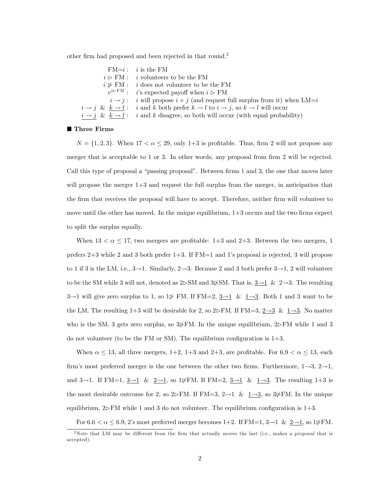other firm had proposed and been rejected in that round.<sup>2</sup>

| $FM=i$ : <i>i</i> is the FM                                                                          |
|------------------------------------------------------------------------------------------------------|
| $i \triangleright \mathrm{FM}:$ <i>i</i> volunteers to be the FM                                     |
| $i \not\triangleright$ FM : <i>i</i> does not volunteer to be the FM                                 |
| $v^{i\rhd}{}^{\text{FM}}$ : <i>i</i> 's expected payoff when $i \rhd \text{FM}$                      |
| $i \rightarrow j$ : i will propose $i + j$ (and request full surplus from it) when LM=i              |
| $i \to j \& k \to l$ : i and k both prefer $k \to l$ to $i \to j$ , so $k \to l$ will occur          |
| $i \rightarrow j \& k \rightarrow l$ : i and k disagree, so both will occur (with equal probability) |
|                                                                                                      |

## ■ Three Firms

 $N = \{1, 2, 3\}$ . When  $17 < \alpha \leq 29$ , only 1+3 is profitable. Thus, firm 2 will not propose any merger that is acceptable to  $1$  or  $3$ . In other words, any proposal from firm  $2$  will be rejected. Call this type of proposal a "passing proposal". Between firms 1 and 3, the one that moves later will propose the merger  $1+3$  and request the full surplus from the merger, in anticipation that the firm that receives the proposal will have to accept. Therefore, neither firm will volunteer to move until the other has moved. In the unique equilibrium,  $1+3$  occurs and the two firms expect to split the surplus equally.

When  $13 < \alpha \leq 17$ , two mergers are profitable: 1+3 and 2+3. Between the two mergers, 1 prefers 2+3 while 2 and 3 both prefer 1+3. If FM=1 and 1ís proposal is rejected, 3 will propose to 1 if 3 is the LM, i.e.,  $3\rightarrow 1$ . Similarly,  $2\rightarrow 3$ . Because 2 and 3 both prefer  $3\rightarrow 1$ , 2 will volunteer to be the SM while 3 will not, denoted as  $2DSM$  and  $3\not\!\!\!\!\times SM$ . That is,  $3\rightarrow 1 \& 2 \rightarrow 3$ . The resulting  $3 \rightarrow 1$  will give zero surplus to 1, so  $1\cancel{p}$  FM. If FM=2,  $3 \rightarrow 1$  &  $1 \rightarrow 3$ . Both 1 and 3 want to be the LM. The resulting 1+3 will be desirable for 2, so 2 $\triangleright$  FM. If FM=3,  $2\rightarrow 3$  &  $1\rightarrow 3$ . No matter who is the SM, 3 gets zero surplus, so  $3\cancel{\neq}$ FM. In the unique equilibrium,  $2\cancel{\gt}$ FM while 1 and 3 do not volunteer (to be the FM or SM). The equilibrium configuration is  $1+3$ .

When  $\alpha \leq 13$ , all three mergers, 1+2, 1+3 and 2+3, are profitable. For  $6.9 < \alpha \leq 13$ , each firm's most preferred merger is the one between the other two firms. Furthermore,  $1\rightarrow 3$ ,  $2\rightarrow 1$ , and 3-1. If FM=1,  $3\rightarrow 1$  &  $2\rightarrow 1$ , so 1 $\cancel{\psi}$ FM. If FM=2,  $3\rightarrow 1$  &  $1\rightarrow 3$ . The resulting 1+3 is the most desirable outcome for 2, so  $2\triangleright$ FM. If FM=3,  $2\rightarrow 1$  &  $1\rightarrow 3$ , so  $3\cancel{\psi}$ FM. In the unique equilibrium,  $2\triangleright$  FM while 1 and 3 do not volunteer. The equilibrium configuration is  $1+3$ .

For  $6.6 < \alpha \leq 6.9$ , 2's most preferred merger becomes  $1+2$ . If FM=1,  $3\rightarrow1$  &  $2\rightarrow1$ , so  $1\,\cancel{\triangleright}$ FM.

 $2$ Note that LM may be different from the firm that actually moves the last (i.e., makes a proposal that is accepted).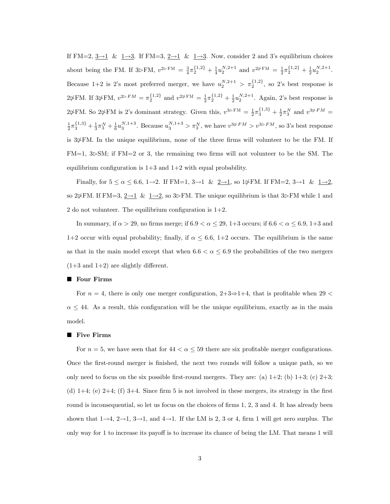If FM=2,  $3\rightarrow1$  &  $1\rightarrow3$ . If FM=3,  $2\rightarrow1$  &  $1\rightarrow3$ . Now, consider 2 and 3's equilibrium choices about being the FM. If  $3\rhd$ FM,  $v^{2\rhd}$ F<sup>M</sup> =  $\frac{3}{4}\pi_2^{\{1,2\}} + \frac{1}{4}u_2^{N,2+1}$  and  $v^{2\psi}$ F<sup>M</sup> =  $\frac{1}{2}\pi_2^{\{1,2\}} + \frac{1}{2}u_2^{N,2+1}$ . Because 1+2 is 2's most preferred merger, we have  $u_2^{N,2+1} > \pi_2^{\{1,2\}}$ , so 2's best response is  $2\psi$ FM. If  $3\psi$ FM,  $v^{2\psi FM} = \pi_2^{\{1,2\}}$  and  $v^{2\psi FM} = \frac{1}{2}\pi_2^{\{1,2\}} + \frac{1}{2}u_2^{N,2+1}$ . Again, 2's best response is  $2\cancel{\psi}$ FM. So  $2\cancel{\psi}$ FM is 2's dominant strategy. Given this,  $v^{3\rhd F M} = \frac{1}{2}\pi_3^{\{1,3\}} + \frac{1}{2}\pi_3^N$  and  $v^{3\cancel{\psi}FM}$  $\frac{1}{2}\pi_3^{\{1,3\}} + \frac{1}{3}\pi_3^N + \frac{1}{6}u_3^{N,1+3}$ . Because  $u_3^{N,1+3} > \pi_3^N$ , we have  $v^{3\psi FM} > v^{3\triangleright FM}$ , so 3's best response is  $3\frac{1}{2}FM$ . In the unique equilibrium, none of the three firms will volunteer to be the FM. If  $FM=1, 3\rightarrow SM$ ; if  $FM=2$  or 3, the remaining two firms will not volunteer to be the SM. The equilibrium configuration is  $1+3$  and  $1+2$  with equal probability.

Finally, for  $5 \le \alpha \le 6.6$ ,  $1\rightarrow 2$ . If FM=1,  $3\rightarrow 1$  &  $2\rightarrow 1$ , so  $1\cancel{\triangleright}$ FM. If FM=2,  $3\rightarrow 1$  &  $1\rightarrow 2$ , so 2 $\cancel{\psi}$ FM. If FM=3,  $\underline{2\rightarrow1}$  &  $\underline{1\rightarrow2}$ , so 3 $\triangleright$ FM. The unique equilibrium is that 3 $\triangleright$ FM while 1 and 2 do not volunteer. The equilibrium configuration is  $1+2$ .

In summary, if  $\alpha > 29$ , no firms merge; if  $6.9 < \alpha \leq 29$ ,  $1+3$  occurs; if  $6.6 < \alpha \leq 6.9$ ,  $1+3$  and 1+2 occur with equal probability; finally, if  $\alpha \leq 6.6$ , 1+2 occurs. The equilibrium is the same as that in the main model except that when  $6.6 < \alpha \leq 6.9$  the probabilities of the two mergers  $(1+3 \text{ and } 1+2)$  are slightly different.

## ■ Four Firms

For  $n = 4$ , there is only one merger configuration,  $2+3\Rightarrow 1+4$ , that is profitable when 29 <  $\alpha \leq 44$ . As a result, this configuration will be the unique equilibrium, exactly as in the main model.

## **Five Firms**

For  $n = 5$ , we have seen that for  $44 < \alpha \leq 59$  there are six profitable merger configurations. Once the Örst-round merger is Önished, the next two rounds will follow a unique path, so we only need to focus on the six possible first-round mergers. They are: (a)  $1+2$ ; (b)  $1+3$ ; (c)  $2+3$ ; (d)  $1+4$ ; (e)  $2+4$ ; (f)  $3+4$ . Since firm 5 is not involved in these mergers, its strategy in the first round is inconsequential, so let us focus on the choices of firms 1, 2, 3 and 4. It has already been shown that  $1\rightarrow 4$ ,  $2\rightarrow 1$ ,  $3\rightarrow 1$ , and  $4\rightarrow 1$ . If the LM is 2, 3 or 4, firm 1 will get zero surplus. The only way for 1 to increase its payoff is to increase its chance of being the LM. That means 1 will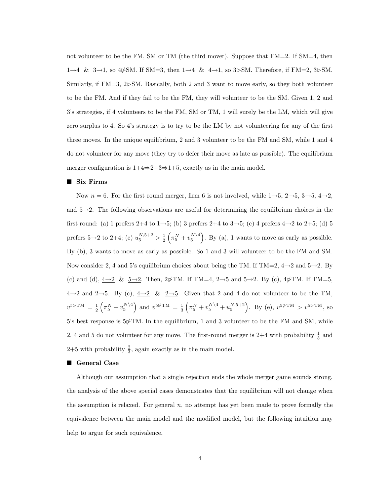not volunteer to be the FM, SM or TM (the third mover). Suppose that FM=2. If SM=4, then  $\underline{1\rightarrow4}$  & 3<br> $\rightarrow$  1, so 4&SM. If SM=3, then  $\underline{1\rightarrow4}$  &  $\underline{4\rightarrow1},$  <br>so 3 $\triangleright$  SM. Therefore, if FM=2, 3 $\triangleright$  SM. Similarly, if  $FM=3$ ,  $2DSM$ . Basically, both 2 and 3 want to move early, so they both volunteer to be the FM. And if they fail to be the FM, they will volunteer to be the SM. Given 1, 2 and 3ís strategies, if 4 volunteers to be the FM, SM or TM, 1 will surely be the LM, which will give zero surplus to 4. So 4's strategy is to try to be the LM by not volunteering for any of the first three moves. In the unique equilibrium, 2 and 3 volunteer to be the FM and SM, while 1 and 4 do not volunteer for any move (they try to defer their move as late as possible). The equilibrium merger configuration is  $1+4\Rightarrow 2+3\Rightarrow 1+5$ , exactly as in the main model.

## ■ Six Firms

Now  $n = 6$ . For the first round merger, firm 6 is not involved, while  $1\rightarrow 5$ ,  $2\rightarrow 5$ ,  $3\rightarrow 5$ ,  $4\rightarrow 2$ , and  $5 \rightarrow 2$ . The following observations are useful for determining the equilibrium choices in the first round: (a) 1 prefers 2+4 to 1 $\rightarrow$ 5; (b) 3 prefers 2+4 to 3 $\rightarrow$ 5; (c) 4 prefers 4 $\rightarrow$ 2 to 2+5; (d) 5 prefers 5 $\rightarrow$ 2 to 2+4; (e)  $u_5^{N,5+2} > \frac{1}{2}$  $(\pi_5^N + v_5^{N\setminus 4})$ . By (a), 1 wants to move as early as possible. By (b), 3 wants to move as early as possible. So 1 and 3 will volunteer to be the FM and SM. Now consider 2, 4 and 5's equilibrium choices about being the TM. If TM=2,  $4 \rightarrow 2$  and  $5 \rightarrow 2$ . By (c) and (d),  $4\rightarrow 2$  &  $5\rightarrow 2$ . Then,  $2\cancel{\psi}$  TM. If TM=4,  $2\rightarrow 5$  and  $5\rightarrow 2$ . By (c),  $4\cancel{\psi}$  TM. If TM=5,  $4\rightarrow 2$  and  $2\rightarrow 5$ . By (c),  $4\rightarrow 2$  &  $2\rightarrow 5$ . Given that 2 and 4 do not volunteer to be the TM,  $v^{5\rhd \text{TM}} = \frac{1}{2}$  $\left(\pi_5^N + v_5^{N\setminus 4}\right)$  and  $v^{5\ntriangleright \mathrm{TM}} = \frac{1}{3}$  $\left(\pi_5^N + v_5^{N\setminus 4} + u_5^{N,5+2}\right)$ . By (e),  $v^{5\psi \text{TM}} > v^{5\triangleright \text{TM}}$ , so  $5$ 's best response is  $5\cancel{\phi}$ TM. In the equilibrium, 1 and 3 volunteer to be the FM and SM, while 2, 4 and 5 do not volunteer for any move. The first-round merger is 2+4 with probability  $\frac{1}{3}$  and  $2+5$  with probability  $\frac{2}{3}$ , again exactly as in the main model.

# ■ General Case

Although our assumption that a single rejection ends the whole merger game sounds strong, the analysis of the above special cases demonstrates that the equilibrium will not change when the assumption is relaxed. For general  $n$ , no attempt has yet been made to prove formally the equivalence between the main model and the modified model, but the following intuition may help to argue for such equivalence.